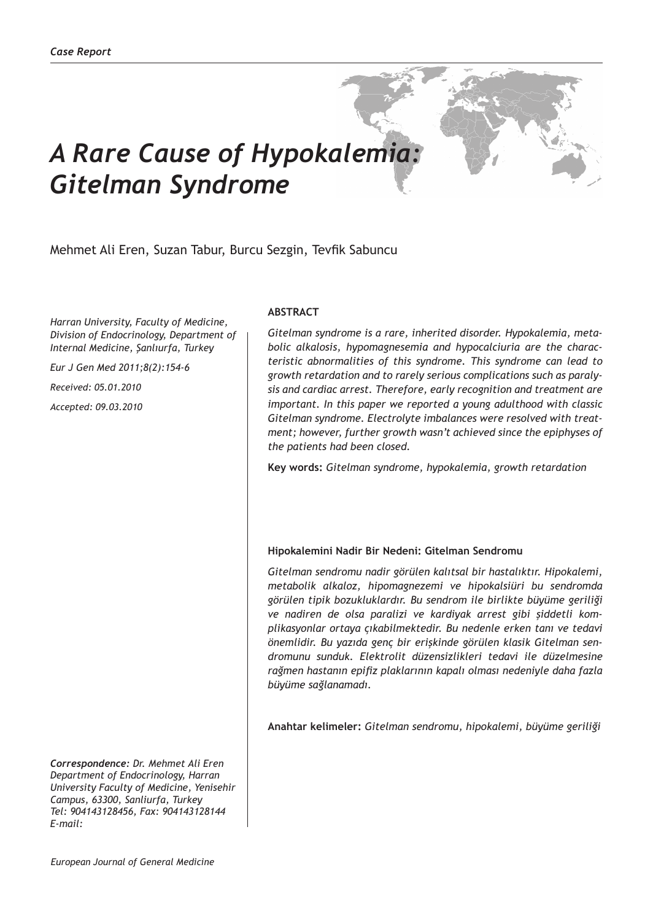# *A Rare Cause of Hypokalemia: Gitelman Syndrome*

# Mehmet Ali Eren, Suzan Tabur, Burcu Sezgin, Tevfik Sabuncu

*Harran University, Faculty of Medicine, Division of Endocrinology, Department of Internal Medicine, Şanlıurfa, Turkey*

*Eur J Gen Med 2011;8(2):154-6*

*Received: 05.01.2010*

*Accepted: 09.03.2010*

## **ABSTRACT**

*Gitelman syndrome is a rare, inherited disorder. Hypokalemia, metabolic alkalosis, hypomagnesemia and hypocalciuria are the characteristic abnormalities of this syndrome. This syndrome can lead to growth retardation and to rarely serious complications such as paralysis and cardiac arrest. Therefore, early recognition and treatment are important. In this paper we reported a young adulthood with classic Gitelman syndrome. Electrolyte imbalances were resolved with treatment; however, further growth wasn't achieved since the epiphyses of the patients had been closed.*

**Key words:** *Gitelman syndrome, hypokalemia, growth retardation*

## **Hipokalemini Nadir Bir Nedeni: Gitelman Sendromu**

*Gitelman sendromu nadir görülen kalıtsal bir hastalıktır. Hipokalemi, metabolik alkaloz, hipomagnezemi ve hipokalsiüri bu sendromda görülen tipik bozukluklardır. Bu sendrom ile birlikte büyüme geriliği ve nadiren de olsa paralizi ve kardiyak arrest gibi şiddetli komplikasyonlar ortaya çıkabilmektedir. Bu nedenle erken tanı ve tedavi önemlidir. Bu yazıda genç bir erişkinde görülen klasik Gitelman sendromunu sunduk. Elektrolit düzensizlikleri tedavi ile düzelmesine rağmen hastanın epifiz plaklarının kapalı olması nedeniyle daha fazla büyüme sağlanamadı.*

**Anahtar kelimeler:** *Gitelman sendromu, hipokalemi, büyüme geriliği*

*Correspondence: Dr. Mehmet Ali Eren Department of Endocrinology, Harran University Faculty of Medicine, Yenisehir Campus, 63300, Sanliurfa, Turkey Tel: 904143128456, Fax: 904143128144 E-mail:*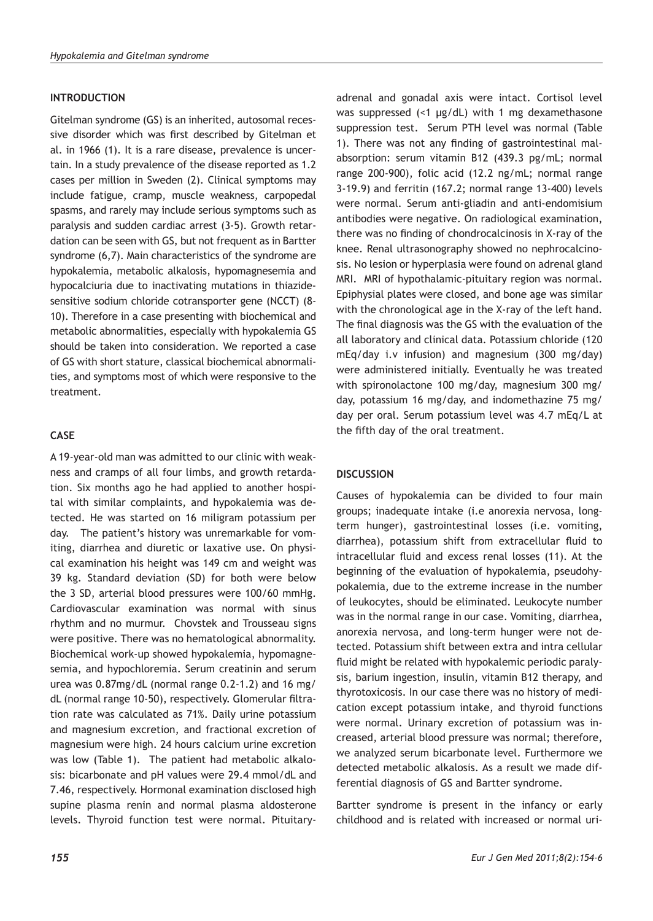## **INTRODUCTION**

Gitelman syndrome (GS) is an inherited, autosomal recessive disorder which was first described by Gitelman et al. in 1966 (1). It is a rare disease, prevalence is uncertain. In a study prevalence of the disease reported as 1.2 cases per million in Sweden (2). Clinical symptoms may include fatigue, cramp, muscle weakness, carpopedal spasms, and rarely may include serious symptoms such as paralysis and sudden cardiac arrest (3-5). Growth retardation can be seen with GS, but not frequent as in Bartter syndrome (6,7). Main characteristics of the syndrome are hypokalemia, metabolic alkalosis, hypomagnesemia and hypocalciuria due to inactivating mutations in thiazidesensitive sodium chloride cotransporter gene (NCCT) (8- 10). Therefore in a case presenting with biochemical and metabolic abnormalities, especially with hypokalemia GS should be taken into consideration. We reported a case of GS with short stature, classical biochemical abnormalities, and symptoms most of which were responsive to the treatment.

# **CASE**

A 19-year-old man was admitted to our clinic with weakness and cramps of all four limbs, and growth retardation. Six months ago he had applied to another hospital with similar complaints, and hypokalemia was detected. He was started on 16 miligram potassium per day. The patient's history was unremarkable for vomiting, diarrhea and diuretic or laxative use. On physical examination his height was 149 cm and weight was 39 kg. Standard deviation (SD) for both were below the 3 SD, arterial blood pressures were 100/60 mmHg. Cardiovascular examination was normal with sinus rhythm and no murmur. Chovstek and Trousseau signs were positive. There was no hematological abnormality. Biochemical work-up showed hypokalemia, hypomagnesemia, and hypochloremia. Serum creatinin and serum urea was 0.87mg/dL (normal range 0.2-1.2) and 16 mg/ dL (normal range 10-50), respectively. Glomerular filtration rate was calculated as 71%. Daily urine potassium and magnesium excretion, and fractional excretion of magnesium were high. 24 hours calcium urine excretion was low (Table 1). The patient had metabolic alkalosis: bicarbonate and pH values were 29.4 mmol/dL and 7.46, respectively. Hormonal examination disclosed high supine plasma renin and normal plasma aldosterone levels. Thyroid function test were normal. Pituitary-

adrenal and gonadal axis were intact. Cortisol level was suppressed (<1 µg/dL) with 1 mg dexamethasone suppression test. Serum PTH level was normal (Table 1). There was not any finding of gastrointestinal malabsorption: serum vitamin B12 (439.3 pg/mL; normal range 200-900), folic acid (12.2 ng/mL; normal range 3-19.9) and ferritin (167.2; normal range 13-400) levels were normal. Serum anti-gliadin and anti-endomisium antibodies were negative. On radiological examination, there was no finding of chondrocalcinosis in X-ray of the knee. Renal ultrasonography showed no nephrocalcinosis. No lesion or hyperplasia were found on adrenal gland MRI. MRI of hypothalamic-pituitary region was normal. Epiphysial plates were closed, and bone age was similar with the chronological age in the X-ray of the left hand. The final diagnosis was the GS with the evaluation of the all laboratory and clinical data. Potassium chloride (120 mEq/day i.v infusion) and magnesium (300 mg/day) were administered initially. Eventually he was treated with spironolactone 100 mg/day, magnesium 300 mg/ day, potassium 16 mg/day, and indomethazine 75 mg/ day per oral. Serum potassium level was 4.7 mEq/L at the fifth day of the oral treatment.

# **DISCUSSION**

Causes of hypokalemia can be divided to four main groups; inadequate intake (i.e anorexia nervosa, longterm hunger), gastrointestinal losses (i.e. vomiting, diarrhea), potassium shift from extracellular fluid to intracellular fluid and excess renal losses (11). At the beginning of the evaluation of hypokalemia, pseudohypokalemia, due to the extreme increase in the number of leukocytes, should be eliminated. Leukocyte number was in the normal range in our case. Vomiting, diarrhea, anorexia nervosa, and long-term hunger were not detected. Potassium shift between extra and intra cellular fluid might be related with hypokalemic periodic paralysis, barium ingestion, insulin, vitamin B12 therapy, and thyrotoxicosis. In our case there was no history of medication except potassium intake, and thyroid functions were normal. Urinary excretion of potassium was increased, arterial blood pressure was normal; therefore, we analyzed serum bicarbonate level. Furthermore we detected metabolic alkalosis. As a result we made differential diagnosis of GS and Bartter syndrome.

Bartter syndrome is present in the infancy or early childhood and is related with increased or normal uri-